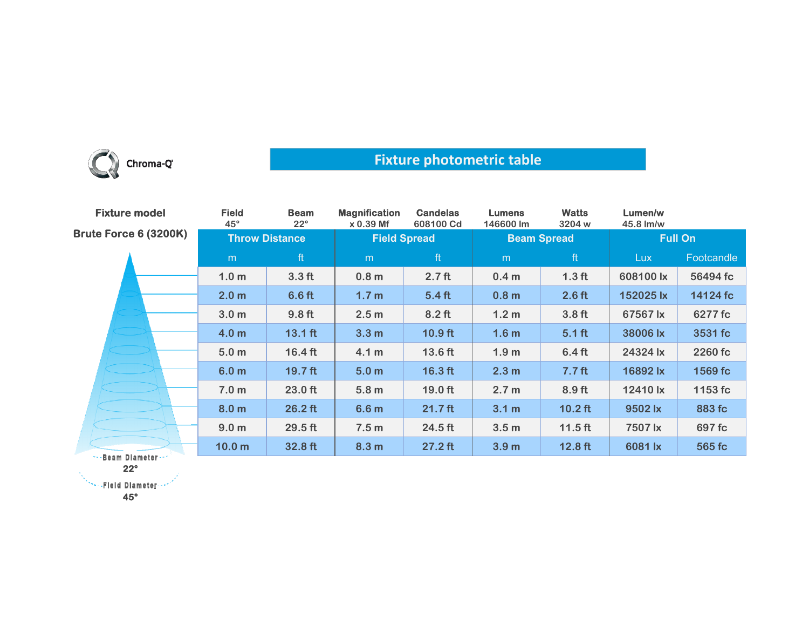

## **Fixture photometric table**

| <b>Fixture model</b>         | <b>Field</b><br>$45^\circ$ | <b>Beam</b><br>$22^{\circ}$ | <b>Magnification</b><br>$x 0.39$ Mf | <b>Candelas</b><br>608100 Cd | <b>Lumens</b><br>146600 lm | <b>Watts</b><br>3204 w | Lumen/w<br>45.8 lm/w |            |
|------------------------------|----------------------------|-----------------------------|-------------------------------------|------------------------------|----------------------------|------------------------|----------------------|------------|
| <b>Brute Force 6 (3200K)</b> | <b>Throw Distance</b>      |                             | <b>Field Spread</b>                 |                              | <b>Beam Spread</b>         |                        | <b>Full On</b>       |            |
|                              | m                          | ft                          | m                                   | ft                           | m                          | ft                     | <b>Lux</b>           | Footcandle |
|                              | 1.0 <sub>m</sub>           | 3.3 <sub>ft</sub>           | 0.8 <sub>m</sub>                    | 2.7 <sub>ft</sub>            | 0.4 <sub>m</sub>           | 1.3 <sub>ft</sub>      | 608100 lx            | 56494 fc   |
|                              | 2.0 <sub>m</sub>           | 6.6 <sub>ft</sub>           | 1.7 <sub>m</sub>                    | 5.4 <sub>ft</sub>            | 0.8 <sub>m</sub>           | 2.6 <sub>ft</sub>      | 152025 lx            | 14124 fc   |
|                              | 3.0 <sub>m</sub>           | 9.8 <sub>ft</sub>           | 2.5 <sub>m</sub>                    | $8.2$ ft                     | 1.2 <sub>m</sub>           | 3.8 <sub>ft</sub>      | 67567 lx             | 6277 fc    |
|                              | 4.0 <sub>m</sub>           | $13.1$ ft                   | 3.3 <sub>m</sub>                    | $10.9$ ft                    | 1.6 <sub>m</sub>           | $5.1$ ft               | 38006 lx             | 3531 fc    |
|                              | 5.0 <sub>m</sub>           | $16.4 \text{ ft}$           | 4.1 m                               | 13.6 ft                      | 1.9 <sub>m</sub>           | 6.4 <sub>ft</sub>      | 24324 lx             | 2260 fc    |
|                              | 6.0 <sub>m</sub>           | $19.7$ ft                   | 5.0 <sub>m</sub>                    | $16.3$ ft                    | 2.3 <sub>m</sub>           | 7.7 <sub>ft</sub>      | 16892 lx             | 1569 fc    |
|                              | 7.0 <sub>m</sub>           | $23.0$ ft                   | 5.8 <sub>m</sub>                    | 19.0 ft                      | 2.7 <sub>m</sub>           | $8.9$ ft               | 12410 lx             | 1153 fc    |
|                              | 8.0 <sub>m</sub>           | $26.2$ ft                   | 6.6 <sub>m</sub>                    | $21.7$ ft                    | 3.1 m                      | $10.2$ ft              | 9502 lx              | 883 fc     |
|                              | 9.0 <sub>m</sub>           | 29.5 ft                     | 7.5 <sub>m</sub>                    | 24.5 ft                      | 3.5 <sub>m</sub>           | $11.5$ ft              | 7507 lx              | 697 fc     |
| *** Beam Diameter ***        | 10.0 <sub>m</sub>          | 32.8 ft                     | 8.3 <sub>m</sub>                    | $27.2$ ft                    | 3.9 <sub>m</sub>           | $12.8$ ft              | 6081 lx              | 565 fc     |
|                              |                            |                             |                                     |                              |                            |                        |                      |            |

**22°**

**NewsPield Diameter** 

**45°**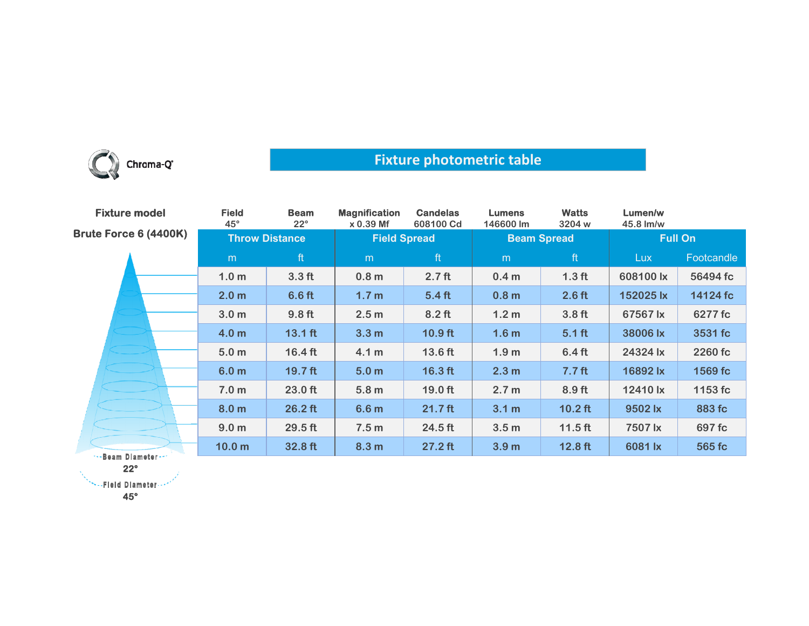

## **Fixture photometric table**

| <b>Fixture model</b>  | <b>Field</b><br>$45^\circ$ | <b>Beam</b><br>$22^{\circ}$ | <b>Magnification</b><br>x 0.39 Mf | <b>Candelas</b><br>608100 Cd | <b>Lumens</b><br>146600 lm | <b>Watts</b><br>3204 w | Lumen/w<br>45.8 lm/w |            |
|-----------------------|----------------------------|-----------------------------|-----------------------------------|------------------------------|----------------------------|------------------------|----------------------|------------|
| Brute Force 6 (4400K) | <b>Throw Distance</b>      |                             | <b>Field Spread</b>               |                              | <b>Beam Spread</b>         |                        | <b>Full On</b>       |            |
|                       | m                          | ft                          | m                                 | ft                           | m                          | ft                     | <b>Lux</b>           | Footcandle |
|                       | 1.0 <sub>m</sub>           | 3.3 <sub>ft</sub>           | 0.8 <sub>m</sub>                  | 2.7 <sub>ft</sub>            | 0.4 <sub>m</sub>           | 1.3 <sub>ft</sub>      | 608100 lx            | 56494 fc   |
|                       | 2.0 <sub>m</sub>           | 6.6 <sub>ft</sub>           | 1.7 <sub>m</sub>                  | 5.4 <sub>ft</sub>            | 0.8 <sub>m</sub>           | 2.6 <sub>ft</sub>      | 152025 lx            | 14124 fc   |
|                       | 3.0 <sub>m</sub>           | 9.8 <sub>ft</sub>           | 2.5 <sub>m</sub>                  | $8.2$ ft                     | 1.2 <sub>m</sub>           | 3.8 <sub>ft</sub>      | 67567 lx             | 6277 fc    |
|                       | 4.0 <sub>m</sub>           | $13.1$ ft                   | 3.3 <sub>m</sub>                  | $10.9$ ft                    | 1.6 <sub>m</sub>           | $5.1$ ft               | 38006 lx             | 3531 fc    |
|                       | 5.0 <sub>m</sub>           | $16.4 \text{ ft}$           | 4.1 m                             | 13.6 ft                      | 1.9 <sub>m</sub>           | 6.4 <sub>ft</sub>      | 24324 lx             | 2260 fc    |
|                       | 6.0 <sub>m</sub>           | $19.7$ ft                   | 5.0 <sub>m</sub>                  | $16.3$ ft                    | 2.3 <sub>m</sub>           | 7.7 <sub>ft</sub>      | 16892 lx             | 1569 fc    |
|                       | 7.0 <sub>m</sub>           | 23.0 ft                     | 5.8 <sub>m</sub>                  | 19.0 ft                      | 2.7 <sub>m</sub>           | 8.9 <sub>ft</sub>      | 12410 lx             | 1153 fc    |
|                       | 8.0 <sub>m</sub>           | $26.2$ ft                   | 6.6 <sub>m</sub>                  | $21.7$ ft                    | 3.1 <sub>m</sub>           | $10.2$ ft              | 9502 lx              | 883 fc     |
|                       | 9.0 <sub>m</sub>           | 29.5 ft                     | 7.5 <sub>m</sub>                  | 24.5 ft                      | 3.5 <sub>m</sub>           | $11.5$ ft              | 7507 lx              | 697 fc     |
|                       | 10.0 <sub>m</sub>          | 32.8 ft                     | 8.3 <sub>m</sub>                  | $27.2$ ft                    | 3.9 <sub>m</sub>           | $12.8$ ft              | 6081 lx              | 565 fc     |
| **- Beam Diameter -** |                            |                             |                                   |                              |                            |                        |                      |            |

**22°**

\*\*\*\*\*Fleid Diameter ...\*

**45°**